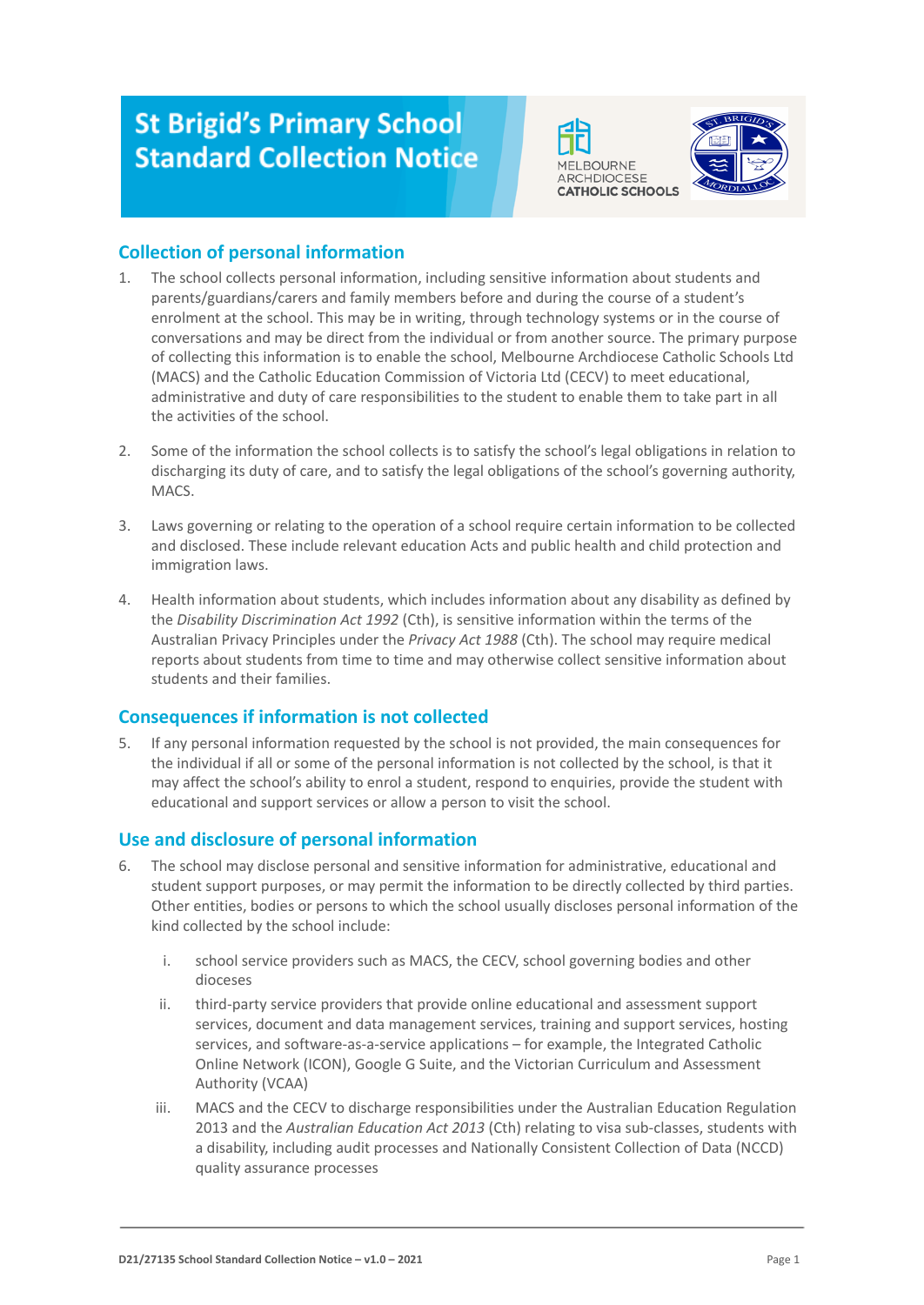# **St Brigid's Primary School Standard Collection Notice**





## **Collection of personal information**

- 1. The school collects personal information, including sensitive information about students and parents/guardians/carers and family members before and during the course of a student's enrolment at the school. This may be in writing, through technology systems or in the course of conversations and may be direct from the individual or from another source. The primary purpose of collecting this information is to enable the school, Melbourne Archdiocese Catholic Schools Ltd (MACS) and the Catholic Education Commission of Victoria Ltd (CECV) to meet educational, administrative and duty of care responsibilities to the student to enable them to take part in all the activities of the school.
- 2. Some of the information the school collects is to satisfy the school's legal obligations in relation to discharging its duty of care, and to satisfy the legal obligations of the school's governing authority, MACS.
- 3. Laws governing or relating to the operation of a school require certain information to be collected and disclosed. These include relevant education Acts and public health and child protection and immigration laws.
- 4. Health information about students, which includes information about any disability as defined by the *Disability Discrimination Act 1992* (Cth), is sensitive information within the terms of the Australian Privacy Principles under the *Privacy Act 1988* (Cth). The school may require medical reports about students from time to time and may otherwise collect sensitive information about students and their families.

### **Consequences if information is not collected**

5. If any personal information requested by the school is not provided, the main consequences for the individual if all or some of the personal information is not collected by the school, is that it may affect the school's ability to enrol a student, respond to enquiries, provide the student with educational and support services or allow a person to visit the school.

## **Use and disclosure of personal information**

- 6. The school may disclose personal and sensitive information for administrative, educational and student support purposes, or may permit the information to be directly collected by third parties. Other entities, bodies or persons to which the school usually discloses personal information of the kind collected by the school include:
	- i. school service providers such as MACS, the CECV, school governing bodies and other dioceses
	- ii. third-party service providers that provide online educational and assessment support services, document and data management services, training and support services, hosting services, and software-as-a-service applications – for example, the Integrated Catholic Online Network (ICON), Google G Suite, and the Victorian Curriculum and Assessment Authority (VCAA)
	- iii. MACS and the CECV to discharge responsibilities under the Australian Education Regulation 2013 and the *Australian Education Act 2013* (Cth) relating to visa sub-classes, students with a disability, including audit processes and Nationally Consistent Collection of Data (NCCD) quality assurance processes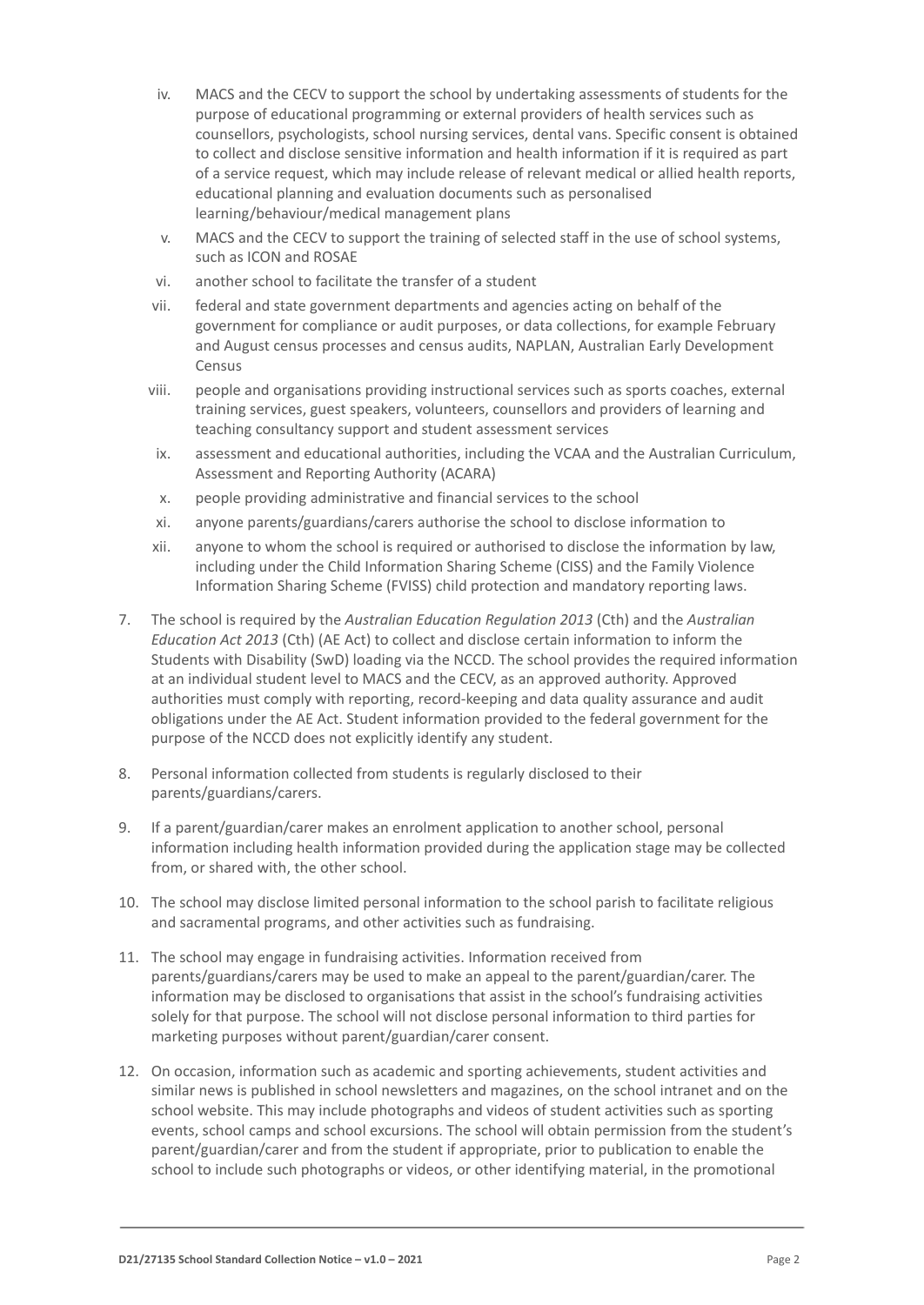- iv. MACS and the CECV to support the school by undertaking assessments of students for the purpose of educational programming or external providers of health services such as counsellors, psychologists, school nursing services, dental vans. Specific consent is obtained to collect and disclose sensitive information and health information if it is required as part of a service request, which may include release of relevant medical or allied health reports, educational planning and evaluation documents such as personalised learning/behaviour/medical management plans
- v. MACS and the CECV to support the training of selected staff in the use of school systems, such as ICON and ROSAE
- vi. another school to facilitate the transfer of a student
- vii. federal and state government departments and agencies acting on behalf of the government for compliance or audit purposes, or data collections, for example February and August census processes and census audits, NAPLAN, Australian Early Development Census
- viii. people and organisations providing instructional services such as sports coaches, external training services, guest speakers, volunteers, counsellors and providers of learning and teaching consultancy support and student assessment services
- ix. assessment and educational authorities, including the VCAA and the Australian Curriculum, Assessment and Reporting Authority (ACARA)
- x. people providing administrative and financial services to the school
- xi. anyone parents/guardians/carers authorise the school to disclose information to
- xii. anyone to whom the school is required or authorised to disclose the information by law, including under the Child Information Sharing Scheme (CISS) and the Family Violence Information Sharing Scheme (FVISS) child protection and mandatory reporting laws.
- 7. The school is required by the *Australian Education Regulation 2013* (Cth) and the *Australian Education Act 2013* (Cth) (AE Act) to collect and disclose certain information to inform the Students with Disability (SwD) loading via the NCCD. The school provides the required information at an individual student level to MACS and the CECV, as an approved authority. Approved authorities must comply with reporting, record-keeping and data quality assurance and audit obligations under the AE Act. Student information provided to the federal government for the purpose of the NCCD does not explicitly identify any student.
- 8. Personal information collected from students is regularly disclosed to their parents/guardians/carers.
- 9. If a parent/guardian/carer makes an enrolment application to another school, personal information including health information provided during the application stage may be collected from, or shared with, the other school.
- 10. The school may disclose limited personal information to the school parish to facilitate religious and sacramental programs, and other activities such as fundraising.
- 11. The school may engage in fundraising activities. Information received from parents/guardians/carers may be used to make an appeal to the parent/guardian/carer. The information may be disclosed to organisations that assist in the school's fundraising activities solely for that purpose. The school will not disclose personal information to third parties for marketing purposes without parent/guardian/carer consent.
- 12. On occasion, information such as academic and sporting achievements, student activities and similar news is published in school newsletters and magazines, on the school intranet and on the school website. This may include photographs and videos of student activities such as sporting events, school camps and school excursions. The school will obtain permission from the student's parent/guardian/carer and from the student if appropriate, prior to publication to enable the school to include such photographs or videos, or other identifying material, in the promotional